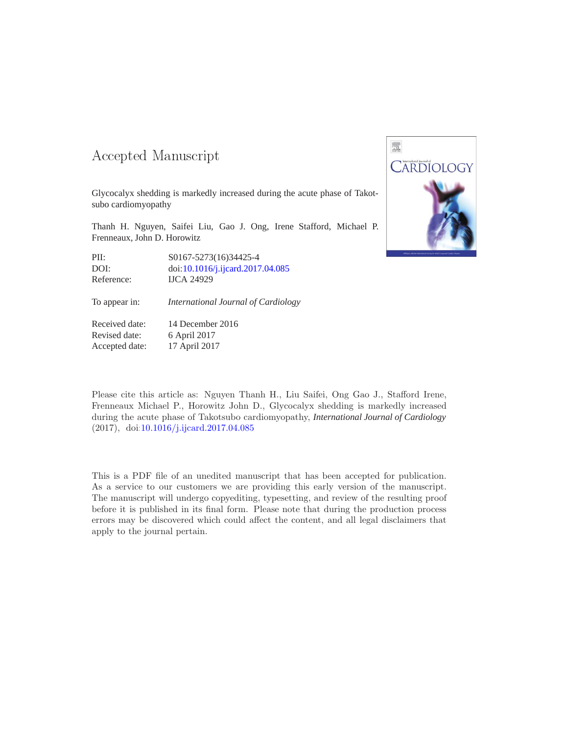### -- -

Glycocalyx shedding is markedly increased during the acute phase of Takotsubo cardiomyopathy

Thanh H. Nguyen, Saifei Liu, Gao J. Ong, Irene Stafford, Michael P. Frenneaux, John D. Horowitz

PII: S0167-5273(16)34425-4 DOI: doi[:10.1016/j.ijcard.2017.04.085](http://dx.doi.org/10.1016/j.ijcard.2017.04.085) Reference: IJCA 24929

To appear in: *International Journal of Cardiology*

Received date: 14 December 2016 Revised date: 6 April 2017 Accepted date: 17 April 2017

Please cite this article as: Nguyen Thanh H., Liu Saifei, Ong Gao J., Stafford Irene, Frenneaux Michael P., Horowitz John D., Glycocalyx shedding is markedly increased during the acute phase of Takotsubo cardiomyopathy, *International Journal of Cardiology* (2017), doi[:10.1016/j.ijcard.2017.04.085](http://dx.doi.org/10.1016/j.ijcard.2017.04.085)

This is a PDF file of an unedited manuscript that has been accepted for publication. As a service to our customers we are providing this early version of the manuscript. The manuscript will undergo copyediting, typesetting, and review of the resulting proof before it is published in its final form. Please note that during the production process errors may be discovered which could affect the content, and all legal disclaimers that apply to the journal pertain.

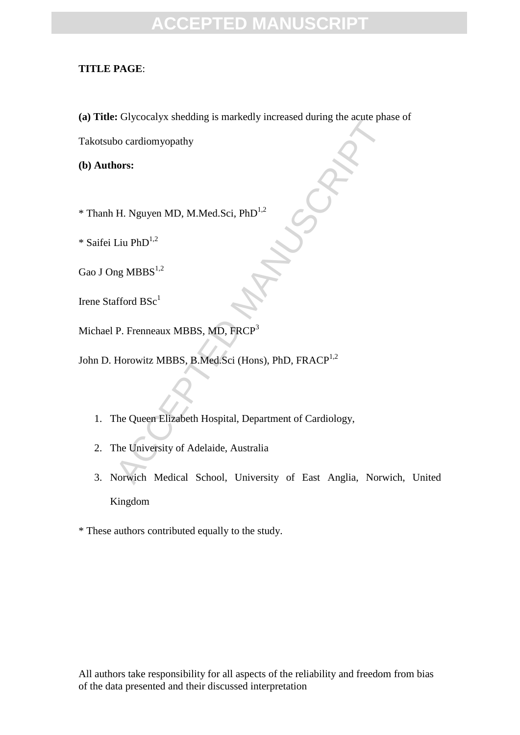### **TITLE PAGE**:

**(a) Title:** Glycocalyx shedding is markedly increased during the acute phase of

ACCEPTED MANUSCRIPT

Takotsubo cardiomyopathy

**(b) Authors:**

\* Thanh H. Nguyen MD, M.Med.Sci, PhD1,2

 $*$  Saifei Liu PhD<sup>1,2</sup>

Gao J Ong  $MBBS<sup>1,2</sup>$ 

Irene Stafford  $BSc<sup>1</sup>$ 

Michael P. Frenneaux MBBS, MD, FRCP<sup>3</sup>

John D. Horowitz MBBS, B.Med.Sci (Hons), PhD, FRACP<sup>1,2</sup>

- 1. The Queen Elizabeth Hospital, Department of Cardiology,
- 2. The University of Adelaide, Australia
- 3. Norwich Medical School, University of East Anglia, Norwich, United Kingdom

\* These authors contributed equally to the study.

All authors take responsibility for all aspects of the reliability and freedom from bias of the data presented and their discussed interpretation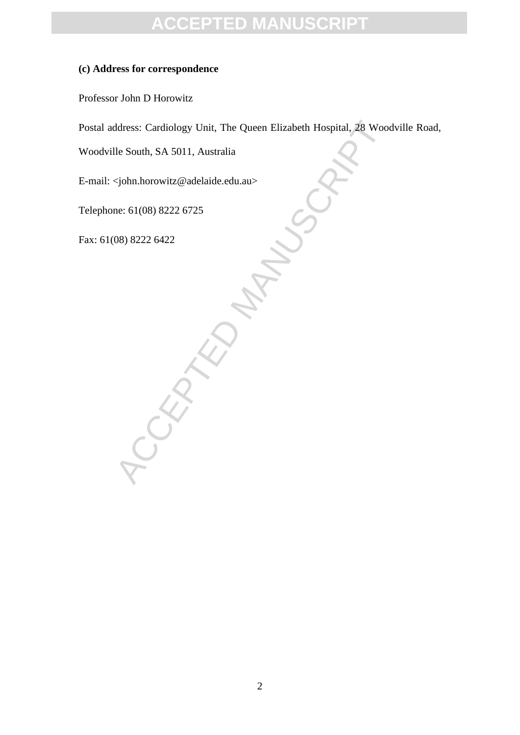#### **(c) Address for correspondence**

Professor John D Horowitz

Postal address: Cardiology Unit, The Queen Elizabeth Hospital, 28 Woodville Road,

Woodville South, SA 5011, Australia

E-mail: <john.horowitz@adelaide.edu.au>

RACCEPTED

Telephone: 61(08) 8222 6725

Fax: 61(08) 8222 6422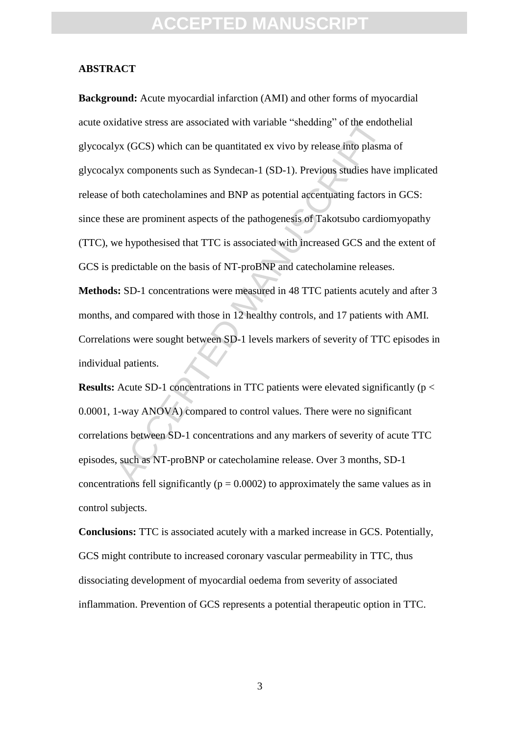#### **ABSTRACT**

idative stress are associated with variable "shedding" of the endot<br>yx (GCS) which can be quantitated ex vivo by release into plasm<br>yx components such as Syndecan-1 (SD-1). Previous studies have<br>f both catecholamines and B **Background:** Acute myocardial infarction (AMI) and other forms of myocardial acute oxidative stress are associated with variable "shedding" of the endothelial glycocalyx (GCS) which can be quantitated ex vivo by release into plasma of glycocalyx components such as Syndecan-1 (SD-1). Previous studies have implicated release of both catecholamines and BNP as potential accentuating factors in GCS: since these are prominent aspects of the pathogenesis of Takotsubo cardiomyopathy (TTC), we hypothesised that TTC is associated with increased GCS and the extent of GCS is predictable on the basis of NT-proBNP and catecholamine releases.

**Methods:** SD-1 concentrations were measured in 48 TTC patients acutely and after 3 months, and compared with those in 12 healthy controls, and 17 patients with AMI. Correlations were sought between SD-1 levels markers of severity of TTC episodes in individual patients.

**Results:** Acute SD-1 concentrations in TTC patients were elevated significantly (p < 0.0001, 1-way ANOVA) compared to control values. There were no significant correlations between SD-1 concentrations and any markers of severity of acute TTC episodes, such as NT-proBNP or catecholamine release. Over 3 months, SD-1 concentrations fell significantly ( $p = 0.0002$ ) to approximately the same values as in control subjects.

**Conclusions:** TTC is associated acutely with a marked increase in GCS. Potentially, GCS might contribute to increased coronary vascular permeability in TTC, thus dissociating development of myocardial oedema from severity of associated inflammation. Prevention of GCS represents a potential therapeutic option in TTC.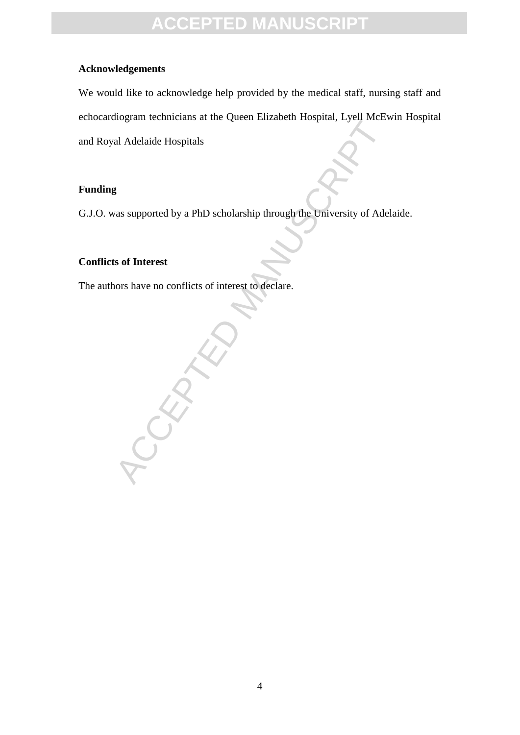### **Acknowledgements**

We would like to acknowledge help provided by the medical staff, nursing staff and echocardiogram technicians at the Queen Elizabeth Hospital, Lyell McEwin Hospital and Royal Adelaide Hospitals

### **Funding**

G.J.O. was supported by a PhD scholarship through the University of Adelaide.

### **Conflicts of Interest**

The authors have no conflicts of interest to declare.

RANCE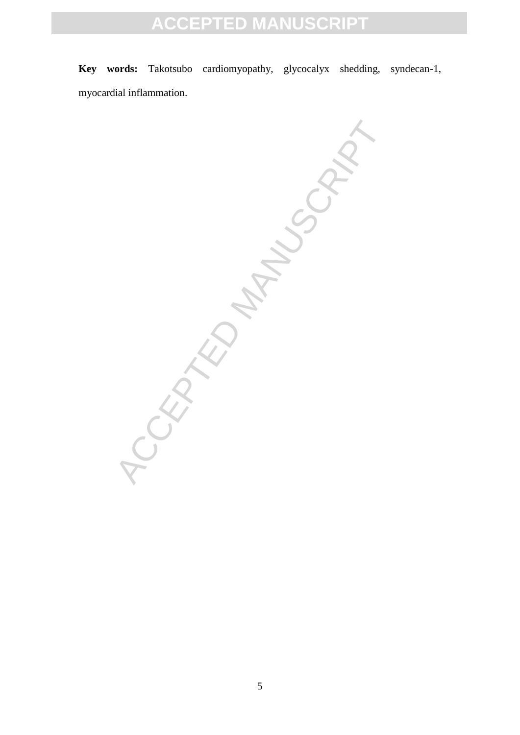**Key words:** Takotsubo cardiomyopathy, glycocalyx shedding, syndecan-1, myocardial inflammation.

-ORD MANUSCRIPT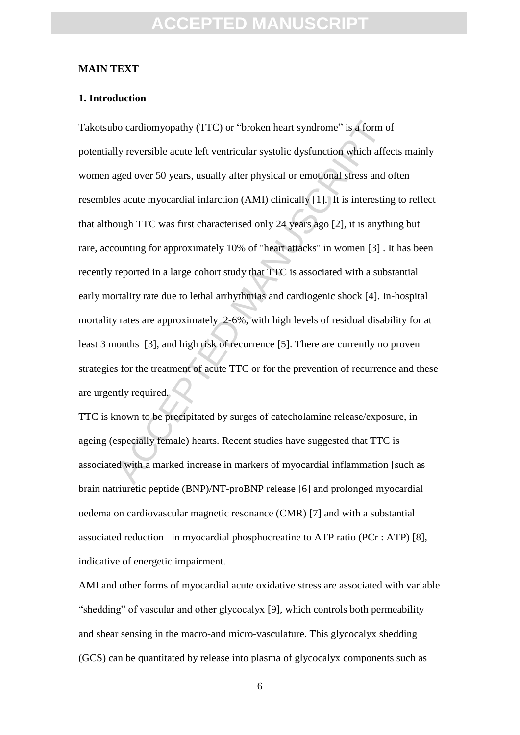#### **MAIN TEXT**

#### **1. Introduction**

bo cardiomyopathy (TTC) or "broken heart syndrome" is a form of<br>lly reversible acute left ventricular systolic dysfunction which affer<br>aged over 50 years, usually after physical or emotional stress and<br>es acute myocardial Takotsubo cardiomyopathy (TTC) or "broken heart syndrome" is a form of potentially reversible acute left ventricular systolic dysfunction which affects mainly women aged over 50 years, usually after physical or emotional stress and often resembles acute myocardial infarction (AMI) clinically [1]. It is interesting to reflect that although TTC was first characterised only 24 years ago [2], it is anything but rare, accounting for approximately 10% of "heart attacks" in women [3] . It has been recently reported in a large cohort study that TTC is associated with a substantial early mortality rate due to lethal arrhythmias and cardiogenic shock [4]. In-hospital mortality rates are approximately 2-6%, with high levels of residual disability for at least 3 months [3], and high risk of recurrence [5]. There are currently no proven strategies for the treatment of acute TTC or for the prevention of recurrence and these are urgently required.

TTC is known to be precipitated by surges of catecholamine release/exposure, in ageing (especially female) hearts. Recent studies have suggested that TTC is associated with a marked increase in markers of myocardial inflammation [such as brain natriuretic peptide (BNP)/NT-proBNP release [6] and prolonged myocardial oedema on cardiovascular magnetic resonance (CMR) [7] and with a substantial associated reduction in myocardial phosphocreatine to ATP ratio (PCr : ATP) [8], indicative of energetic impairment.

AMI and other forms of myocardial acute oxidative stress are associated with variable "shedding" of vascular and other glycocalyx [9], which controls both permeability and shear sensing in the macro-and micro-vasculature. This glycocalyx shedding (GCS) can be quantitated by release into plasma of glycocalyx components such as

6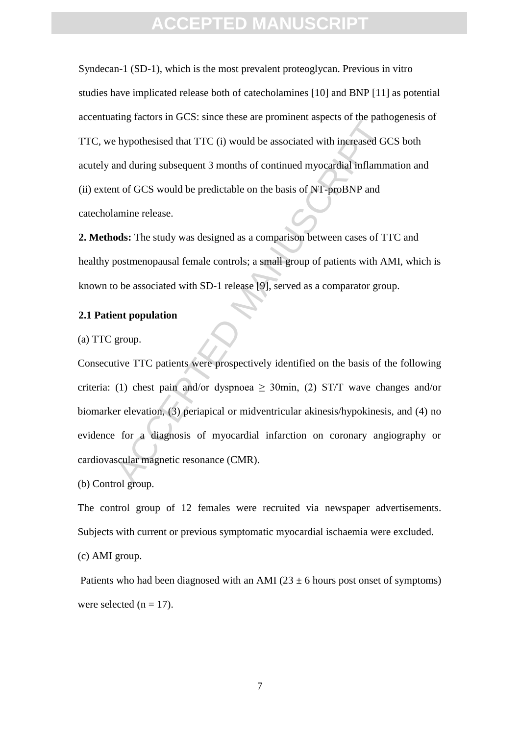Syndecan-1 (SD-1), which is the most prevalent proteoglycan. Previous in vitro studies have implicated release both of catecholamines [10] and BNP [11] as potential accentuating factors in GCS: since these are prominent aspects of the pathogenesis of TTC, we hypothesised that TTC (i) would be associated with increased GCS both acutely and during subsequent 3 months of continued myocardial inflammation and (ii) extent of GCS would be predictable on the basis of NT-proBNP and catecholamine release.

**2. Methods:** The study was designed as a comparison between cases of TTC and healthy postmenopausal female controls; a small group of patients with AMI, which is known to be associated with SD-1 release [9], served as a comparator group.

#### **2.1 Patient population**

(a) TTC group.

the physics in Sec. since these are positional targeted of the plant<br>hypothesised that TTC (i) would be associated with increased GC<br>and during subsequent 3 months of continued myocardial inflamm<br>to f GCS would be predict Consecutive TTC patients were prospectively identified on the basis of the following criteria: (1) chest pain and/or dyspnoea  $\geq$  30min, (2) ST/T wave changes and/or biomarker elevation, (3) periapical or midventricular akinesis/hypokinesis, and (4) no evidence for a diagnosis of myocardial infarction on coronary angiography or cardiovascular magnetic resonance (CMR).

(b) Control group.

The control group of 12 females were recruited via newspaper advertisements. Subjects with current or previous symptomatic myocardial ischaemia were excluded.

(c) AMI group.

Patients who had been diagnosed with an AMI ( $23 \pm 6$  hours post onset of symptoms) were selected ( $n = 17$ ).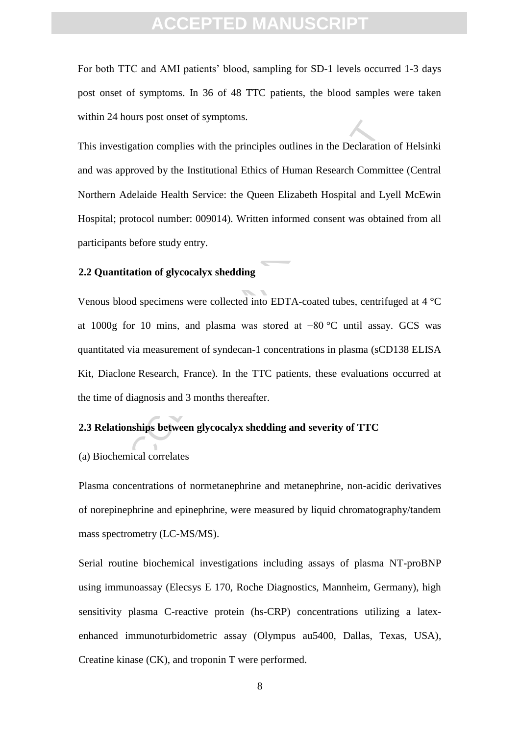For both TTC and AMI patients' blood, sampling for SD-1 levels occurred 1-3 days post onset of symptoms. In 36 of 48 TTC patients, the blood samples were taken within 24 hours post onset of symptoms.

istigation complies with the principles outlines in the Declaration<br>approved by the Institutional Ethics of Human Research Commin<br>Adelaide Health Service: the Queen Elizabeth Hospital and Ly<br>for protocol number: 009014). W This investigation complies with the principles outlines in the Declaration of Helsinki and was approved by the Institutional Ethics of Human Research Committee (Central Northern Adelaide Health Service: the Queen Elizabeth Hospital and Lyell McEwin Hospital; protocol number: 009014). Written informed consent was obtained from all participants before study entry.

### **2.2 Quantitation of glycocalyx shedding**

Venous blood specimens were collected into EDTA-coated tubes, centrifuged at 4 °C at 1000g for 10 mins, and plasma was stored at −80 °C until assay. GCS was quantitated via measurement of syndecan-1 concentrations in plasma (sCD138 ELISA Kit, Diaclone Research, France). In the TTC patients, these evaluations occurred at the time of diagnosis and 3 months thereafter.

### **2.3 Relationships between glycocalyx shedding and severity of TTC**

#### (a) Biochemical correlates

Plasma concentrations of normetanephrine and metanephrine, non-acidic derivatives of norepinephrine and epinephrine, were measured by liquid chromatography/tandem mass spectrometry (LC-MS/MS).

Serial routine biochemical investigations including assays of plasma NT-proBNP using immunoassay (Elecsys E 170, Roche Diagnostics, Mannheim, Germany), high sensitivity plasma C-reactive protein (hs-CRP) concentrations utilizing a latexenhanced immunoturbidometric assay (Olympus au5400, Dallas, Texas, USA), Creatine kinase (CK), and troponin T were performed.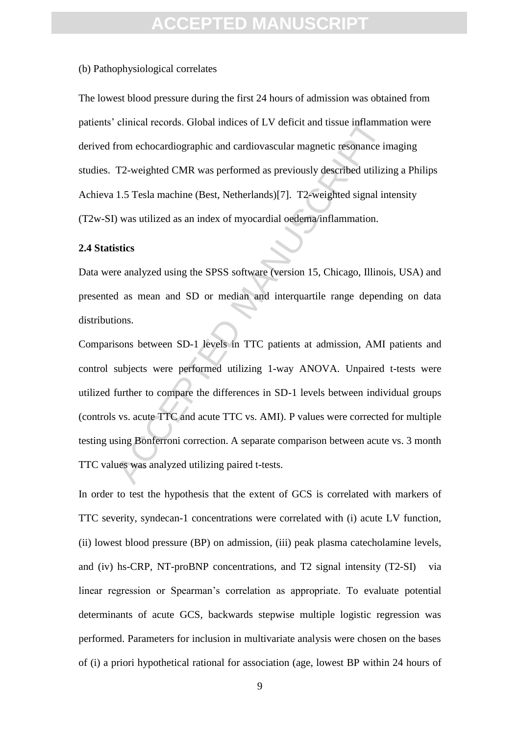#### (b) Pathophysiological correlates

The lowest blood pressure during the first 24 hours of admission was obtained from patients' clinical records. Global indices of LV deficit and tissue inflammation were derived from echocardiographic and cardiovascular magnetic resonance imaging studies. T2-weighted CMR was performed as previously described utilizing a Philips Achieva 1.5 Tesla machine (Best, Netherlands)[7]. T2-weighted signal intensity (T2w-SI) was utilized as an index of myocardial oedema/inflammation.

#### **2.4 Statistics**

Data were analyzed using the SPSS software (version 15, Chicago, Illinois, USA) and presented as mean and SD or median and interquartile range depending on data distributions.

clinical records. Global indices of LV deficit and tissue inflammat<br>from echocardiographic and cardiovascular magnetic resonance in<br>T2-weighted CMR was performed as previously described utilizit<br>1.5 Tesla machine (Best, Ne Comparisons between SD-1 levels in TTC patients at admission, AMI patients and control subjects were performed utilizing 1-way ANOVA. Unpaired t-tests were utilized further to compare the differences in SD-1 levels between individual groups (controls vs. acute TTC and acute TTC vs. AMI). P values were corrected for multiple testing using Bonferroni correction. A separate comparison between acute vs. 3 month TTC values was analyzed utilizing paired t-tests.

In order to test the hypothesis that the extent of GCS is correlated with markers of TTC severity, syndecan-1 concentrations were correlated with (i) acute LV function, (ii) lowest blood pressure (BP) on admission, (iii) peak plasma catecholamine levels, and (iv) hs-CRP, NT-proBNP concentrations, and T2 signal intensity (T2-SI) via linear regression or Spearman's correlation as appropriate. To evaluate potential determinants of acute GCS, backwards stepwise multiple logistic regression was performed. Parameters for inclusion in multivariate analysis were chosen on the bases of (i) a priori hypothetical rational for association (age, lowest BP within 24 hours of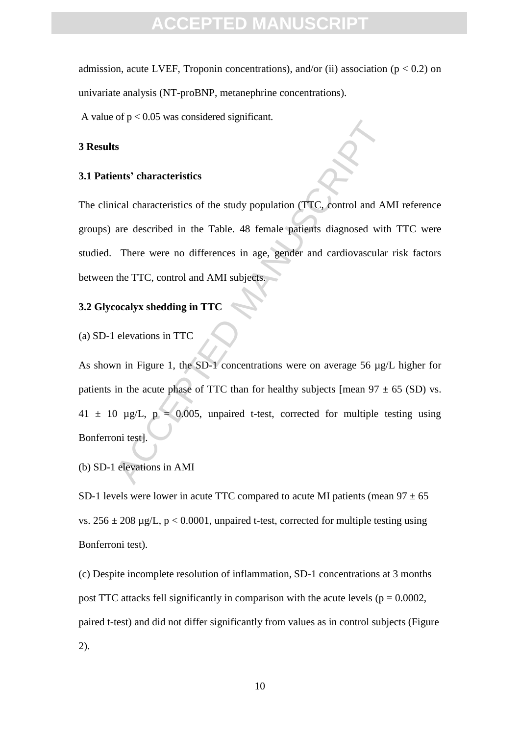### FPTED MANI

admission, acute LVEF, Troponin concentrations), and/or (ii) association ( $p < 0.2$ ) on univariate analysis (NT-proBNP, metanephrine concentrations).

A value of  $p < 0.05$  was considered significant.

#### **3 Results**

#### **3.1 Patients' characteristics**

Solution of the state of the study population (TTC, control and AM<br>are described in the Table. 48 female patients diagnosed with<br>There were no differences in age, gender and cardiovascular<br>the TTC, control and AMI subject The clinical characteristics of the study population (TTC, control and AMI reference groups) are described in the Table. 48 female patients diagnosed with TTC were studied. There were no differences in age, gender and cardiovascular risk factors between the TTC, control and AMI subjects.

### **3.2 Glycocalyx shedding in TTC**

(a) SD-1 elevations in TTC

As shown in Figure 1, the SD-1 concentrations were on average 56 µg/L higher for patients in the acute phase of TTC than for healthy subjects [mean  $97 \pm 65$  (SD) vs.  $41 \pm 10$  µg/L, p = 0.005, unpaired t-test, corrected for multiple testing using Bonferroni test].

(b) SD-1 elevations in AMI

SD-1 levels were lower in acute TTC compared to acute MI patients (mean  $97 \pm 65$ ) vs.  $256 \pm 208$  µg/L, p < 0.0001, unpaired t-test, corrected for multiple testing using Bonferroni test).

(c) Despite incomplete resolution of inflammation, SD-1 concentrations at 3 months post TTC attacks fell significantly in comparison with the acute levels ( $p = 0.0002$ , paired t-test) and did not differ significantly from values as in control subjects (Figure 2).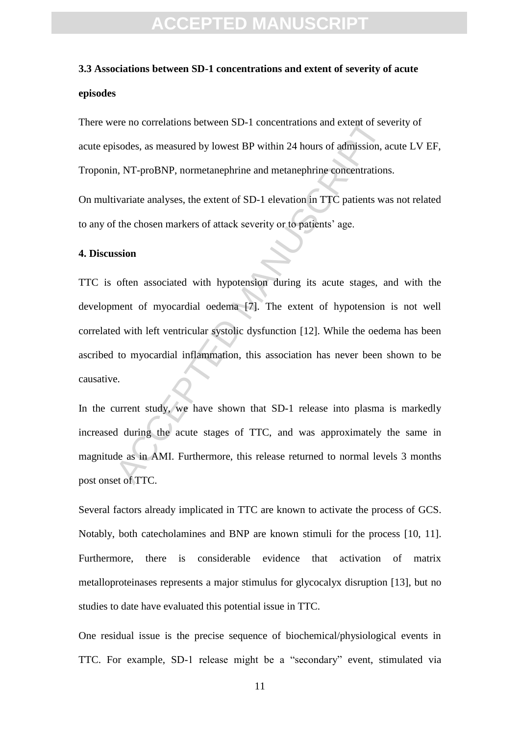### **3.3 Associations between SD-1 concentrations and extent of severity of acute episodes**

There were no correlations between SD-1 concentrations and extent of severity of acute episodes, as measured by lowest BP within 24 hours of admission, acute LV EF, Troponin, NT-proBNP, normetanephrine and metanephrine concentrations.

On multivariate analyses, the extent of SD-1 elevation in TTC patients was not related to any of the chosen markers of attack severity or to patients' age.

#### **4. Discussion**

ere no correlations between SD-1 concentrations and extent of sevisodes, as measured by lowest BP within 24 hours of admission, a<br>n, NT-proBNP, normetanephrine and metanephrine concentrations<br>ivariate analyses, the extent TTC is often associated with hypotension during its acute stages, and with the development of myocardial oedema [7]. The extent of hypotension is not well correlated with left ventricular systolic dysfunction [12]. While the oedema has been ascribed to myocardial inflammation, this association has never been shown to be causative.

In the current study, we have shown that SD-1 release into plasma is markedly increased during the acute stages of TTC, and was approximately the same in magnitude as in AMI. Furthermore, this release returned to normal levels 3 months post onset of TTC.

Several factors already implicated in TTC are known to activate the process of GCS. Notably, both catecholamines and BNP are known stimuli for the process [10, 11]. Furthermore, there is considerable evidence that activation of matrix metalloproteinases represents a major stimulus for glycocalyx disruption [13], but no studies to date have evaluated this potential issue in TTC.

One residual issue is the precise sequence of biochemical/physiological events in TTC. For example, SD-1 release might be a "secondary" event, stimulated via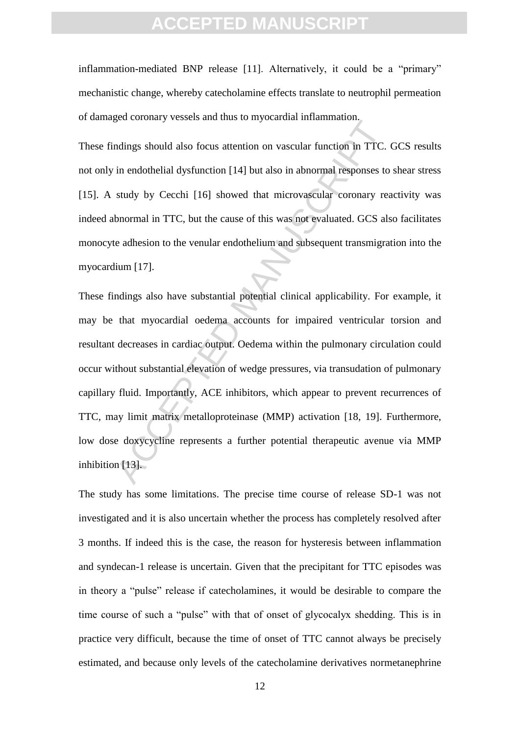inflammation-mediated BNP release [11]. Alternatively, it could be a "primary" mechanistic change, whereby catecholamine effects translate to neutrophil permeation of damaged coronary vessels and thus to myocardial inflammation.

These findings should also focus attention on vascular function in TTC. GCS results not only in endothelial dysfunction [14] but also in abnormal responses to shear stress [15]. A study by Cecchi [16] showed that microvascular coronary reactivity was indeed abnormal in TTC, but the cause of this was not evaluated. GCS also facilitates monocyte adhesion to the venular endothelium and subsequent transmigration into the myocardium [17].

notings should also focus attention on vascular function in TTC.<br>in endothelial dysfunction [14] but also in abnormal responses to<br>study by Cecchi [16] showed that microvascular coronary responses to<br>study by Cecchi [16] s These findings also have substantial potential clinical applicability. For example, it may be that myocardial oedema accounts for impaired ventricular torsion and resultant decreases in cardiac output. Oedema within the pulmonary circulation could occur without substantial elevation of wedge pressures, via transudation of pulmonary capillary fluid. Importantly, ACE inhibitors, which appear to prevent recurrences of TTC, may limit matrix metalloproteinase (MMP) activation [18, 19]. Furthermore, low dose doxycycline represents a further potential therapeutic avenue via MMP inhibition [13].

The study has some limitations. The precise time course of release SD-1 was not investigated and it is also uncertain whether the process has completely resolved after 3 months. If indeed this is the case, the reason for hysteresis between inflammation and syndecan-1 release is uncertain. Given that the precipitant for TTC episodes was in theory a "pulse" release if catecholamines, it would be desirable to compare the time course of such a "pulse" with that of onset of glycocalyx shedding. This is in practice very difficult, because the time of onset of TTC cannot always be precisely estimated, and because only levels of the catecholamine derivatives normetanephrine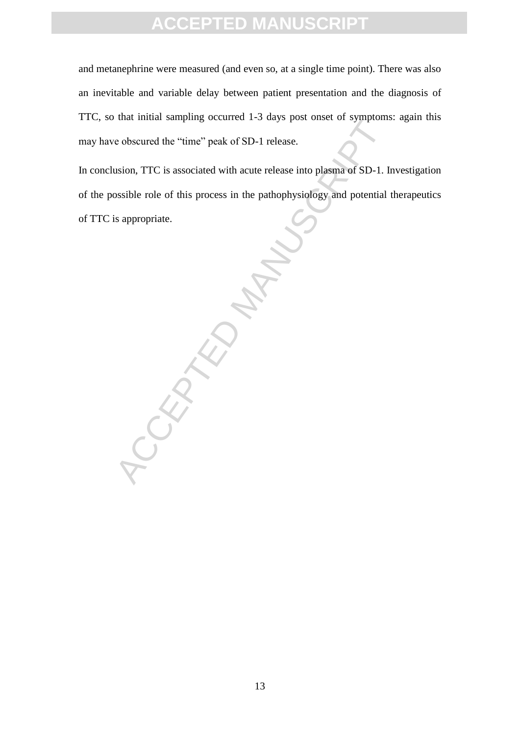and metanephrine were measured (and even so, at a single time point). There was also an inevitable and variable delay between patient presentation and the diagnosis of TTC, so that initial sampling occurred 1-3 days post onset of symptoms: again this may have obscured the "time" peak of SD-1 release.

In conclusion, TTC is associated with acute release into plasma of SD-1. Investigation of the possible role of this process in the pathophysiology and potential therapeutics of TTC is appropriate.

CCEPTED MANUSCRIPT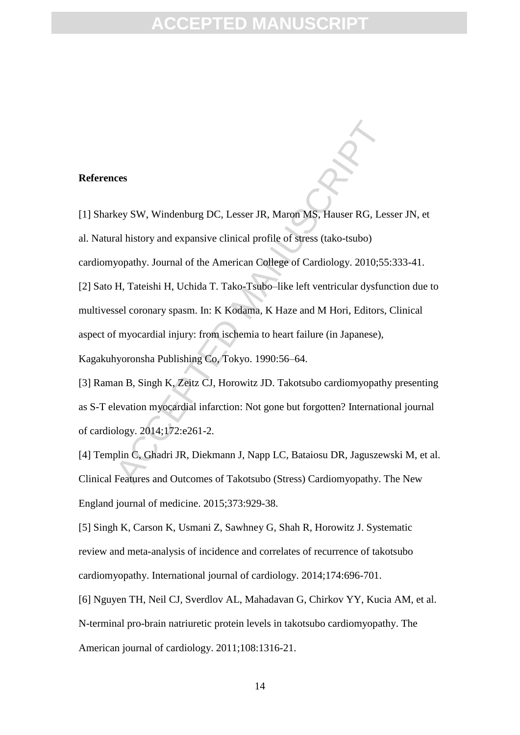#### **References**

[1] Sharkey SW, Windenburg DC, Lesser JR, Maron MS, Hauser RG, Lesser JN, et al. Natural history and expansive clinical profile of stress (tako-tsubo) cardiomyopathy. Journal of the American College of Cardiology. 2010;55:333-41.

ress<br>
Rey SW, Windenburg DC, Lesser JR, Maron MS, Hauser RG, Les<br>
al history and expansive clinical profile of stress (tako-tsubo)<br>
syopathy. Journal of the American College of Cardiology. 2010;55<br>
H, Tateishi H, Uchida T. [2] Sato H, Tateishi H, Uchida T. Tako-Tsubo–like left ventricular dysfunction due to multivessel coronary spasm. In: K Kodama, K Haze and M Hori, Editors, Clinical aspect of myocardial injury: from ischemia to heart failure (in Japanese), Kagakuhyoronsha Publishing Co, Tokyo. 1990:56–64.

[3] Raman B, Singh K, Zeitz CJ, Horowitz JD. Takotsubo cardiomyopathy presenting as S-T elevation myocardial infarction: Not gone but forgotten? International journal of cardiology. 2014;172:e261-2.

[4] Templin C, Ghadri JR, Diekmann J, Napp LC, Bataiosu DR, Jaguszewski M, et al. Clinical Features and Outcomes of Takotsubo (Stress) Cardiomyopathy. The New England journal of medicine. 2015;373:929-38.

[5] Singh K, Carson K, Usmani Z, Sawhney G, Shah R, Horowitz J. Systematic review and meta-analysis of incidence and correlates of recurrence of takotsubo cardiomyopathy. International journal of cardiology. 2014;174:696-701.

[6] Nguyen TH, Neil CJ, Sverdlov AL, Mahadavan G, Chirkov YY, Kucia AM, et al. N-terminal pro-brain natriuretic protein levels in takotsubo cardiomyopathy. The American journal of cardiology. 2011;108:1316-21.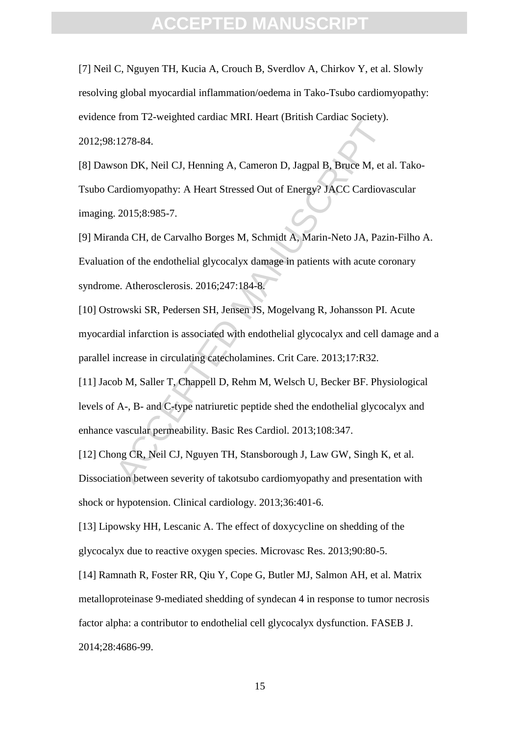[7] Neil C, Nguyen TH, Kucia A, Crouch B, Sverdlov A, Chirkov Y, et al. Slowly resolving global myocardial inflammation/oedema in Tako-Tsubo cardiomyopathy: evidence from T2-weighted cardiac MRI. Heart (British Cardiac Society). 2012;98:1278-84.

1278-84.<br>
Son DK, Neil CJ, Henning A, Cameron D, Jagpal B, Bruce M, et a<br>
ardiomyopathy: A Heart Stressed Out of Energy? JACC Cardiova<br>
2015;8:985-7.<br>
Inda CH, de Carvalho Borges M, Schmidt A, Marin-Neto JA, Pazi<br>
on of th [8] Dawson DK, Neil CJ, Henning A, Cameron D, Jagpal B, Bruce M, et al. Tako-Tsubo Cardiomyopathy: A Heart Stressed Out of Energy? JACC Cardiovascular imaging. 2015;8:985-7.

[9] Miranda CH, de Carvalho Borges M, Schmidt A, Marin-Neto JA, Pazin-Filho A. Evaluation of the endothelial glycocalyx damage in patients with acute coronary syndrome. Atherosclerosis. 2016;247:184-8.

[10] Ostrowski SR, Pedersen SH, Jensen JS, Mogelvang R, Johansson PI. Acute myocardial infarction is associated with endothelial glycocalyx and cell damage and a parallel increase in circulating catecholamines. Crit Care. 2013;17:R32.

[11] Jacob M, Saller T, Chappell D, Rehm M, Welsch U, Becker BF. Physiological levels of A-, B- and C-type natriuretic peptide shed the endothelial glycocalyx and enhance vascular permeability. Basic Res Cardiol. 2013;108:347.

[12] Chong CR, Neil CJ, Nguyen TH, Stansborough J, Law GW, Singh K, et al. Dissociation between severity of takotsubo cardiomyopathy and presentation with shock or hypotension. Clinical cardiology. 2013;36:401-6.

<span id="page-15-0"></span>[13] Lipowsky HH, Lescanic A. The effect of doxycycline on shedding of the glycocalyx due to reactive oxygen species. Microvasc Res. 2013;90:80-5.

[14] Ramnath R, Foster RR, Qiu Y, Cope G, Butler MJ, Salmon AH, et al. Matrix metalloproteinase 9-mediated shedding of syndecan 4 in response to tumor necrosis factor alpha: a contributor to endothelial cell glycocalyx dysfunction. FASEB J. 2014;28:4686-99.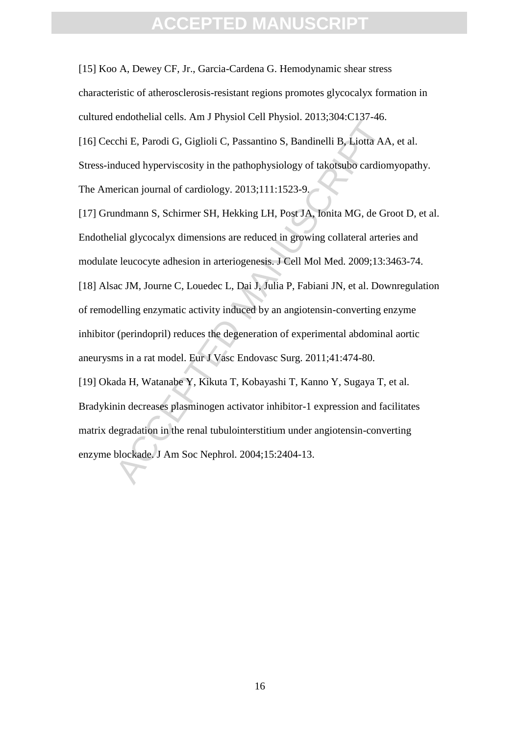[15] Koo A, Dewey CF, Jr., Garcia-Cardena G. Hemodynamic shear stress characteristic of atherosclerosis-resistant regions promotes glycocalyx formation in cultured endothelial cells. Am J Physiol Cell Physiol. 2013;304:C137-46. [16] Cecchi E, Parodi G, Giglioli C, Passantino S, Bandinelli B, Liotta AA, et al. Stress-induced hyperviscosity in the pathophysiology of takotsubo cardiomyopathy. The American journal of cardiology. 2013;111:1523-9.

Extendinations: The Varignotic Certain School. Extendion. The Critical Adduced hyperviscosity in the pathophysiology of takotsubo cardio<br>relican journal of cardiology. 2013;111:1523-9,<br>andmann S, Schirmer SH, Hekking LH, P [17] Grundmann S, Schirmer SH, Hekking LH, Post JA, Ionita MG, de Groot D, et al. Endothelial glycocalyx dimensions are reduced in growing collateral arteries and modulate leucocyte adhesion in arteriogenesis. J Cell Mol Med. 2009;13:3463-74. [18] Alsac JM, Journe C, Louedec L, Dai J, Julia P, Fabiani JN, et al. Downregulation

of remodelling enzymatic activity induced by an angiotensin-converting enzyme inhibitor (perindopril) reduces the degeneration of experimental abdominal aortic aneurysms in a rat model. Eur J Vasc Endovasc Surg. 2011;41:474-80.

[19] Okada H, Watanabe Y, Kikuta T, Kobayashi T, Kanno Y, Sugaya T, et al. Bradykinin decreases plasminogen activator inhibitor-1 expression and facilitates matrix degradation in the renal tubulointerstitium under angiotensin-converting enzyme blockade. J Am Soc Nephrol. 2004;15:2404-13.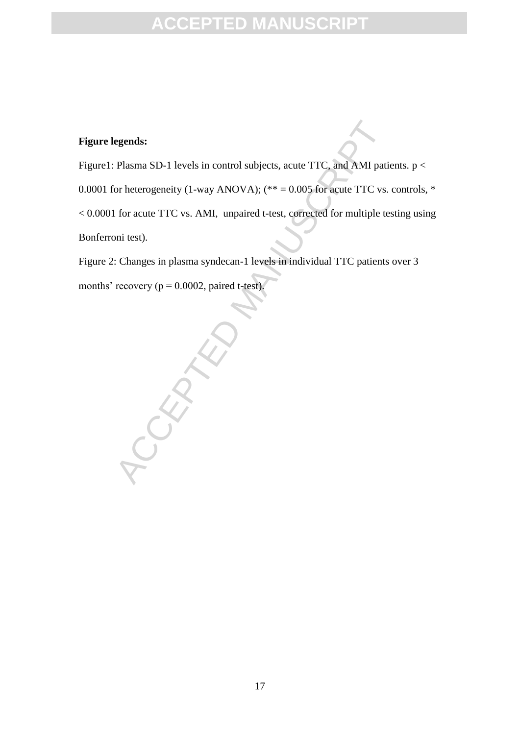### **Figure legends:**

Figure1: Plasma SD-1 levels in control subjects, acute TTC, and AMI patients. p < 0.0001 for heterogeneity (1-way ANOVA);  $(** = 0.005$  for acute TTC vs. controls,  $*$ < 0.0001 for acute TTC vs. AMI, unpaired t-test, corrected for multiple testing using Bonferroni test).

Figure 2: Changes in plasma syndecan-1 levels in individual TTC patients over 3 months' recovery ( $p = 0.0002$ , paired t-test).

CEPTED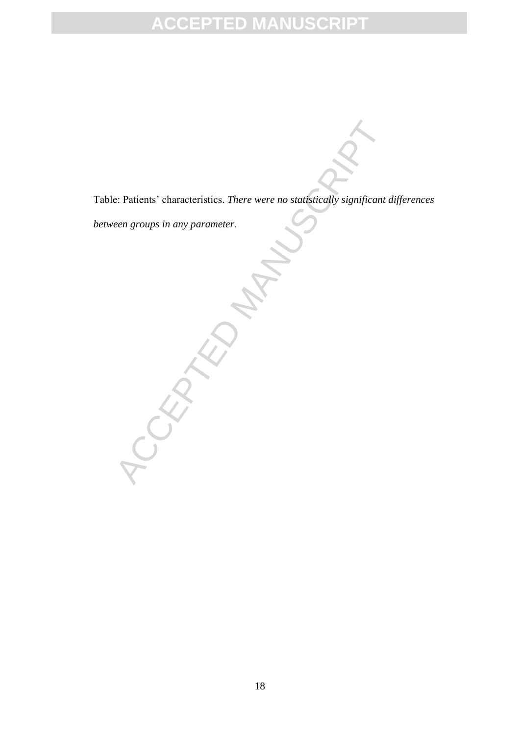Table: Patients' characteristics. *There were no statistically significant differences* 

*between groups in any parameter.*

ACCEPTED MANUS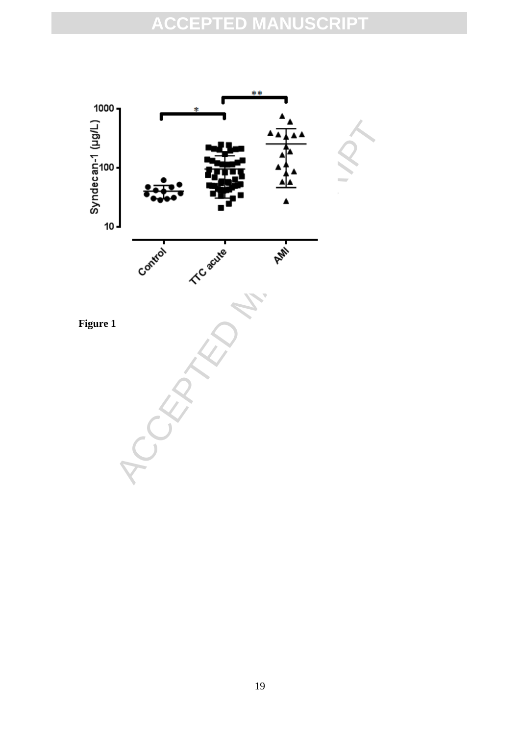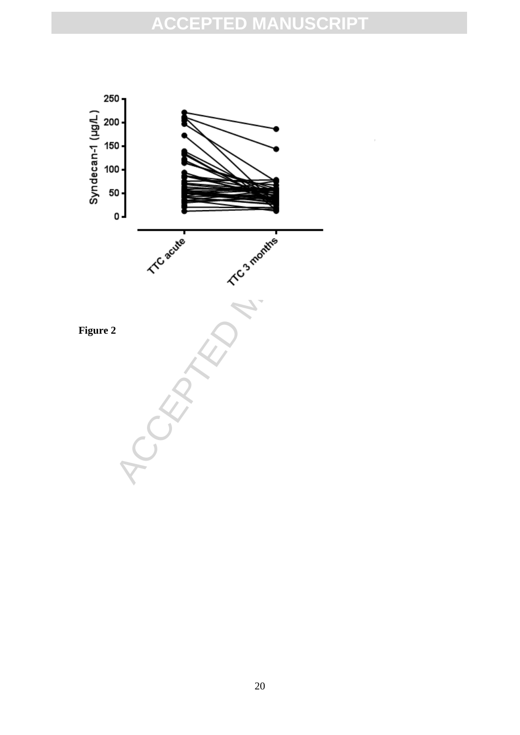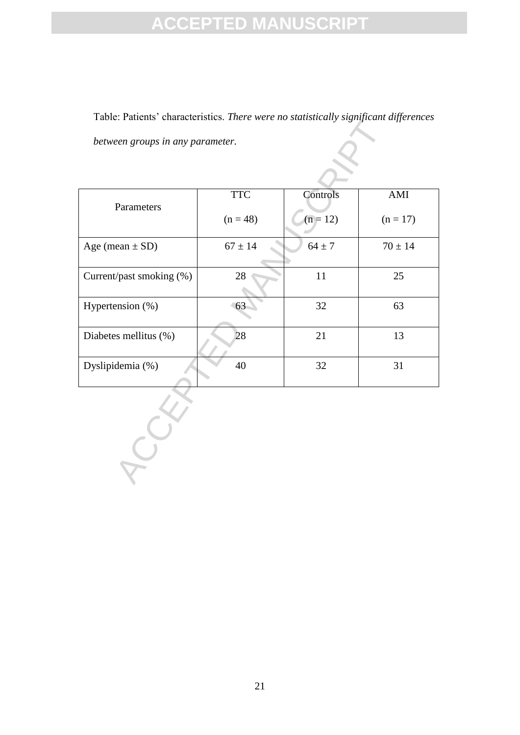Table: Patients' characteristics. *There were no statistically significant differences between groups in any parameter.*

| Tuiting thumwithditio. There were no sumsheumy significant alfferences |             |            |             |
|------------------------------------------------------------------------|-------------|------------|-------------|
| between groups in any parameter.                                       |             |            |             |
|                                                                        |             |            |             |
|                                                                        |             |            |             |
|                                                                        |             |            |             |
|                                                                        | <b>TTC</b>  | Controls   | AMI         |
| Parameters                                                             |             |            |             |
|                                                                        | $(n = 48)$  | $(n = 12)$ | $(n = 17)$  |
|                                                                        |             |            |             |
| Age (mean $\pm$ SD)                                                    | $67 \pm 14$ | $64 \pm 7$ | $70 \pm 14$ |
|                                                                        |             |            |             |
| Current/past smoking (%)                                               | 28          | $11\,$     | 25          |
|                                                                        |             |            |             |
| Hypertension (%)                                                       | 63          | 32         | 63          |
|                                                                        |             |            |             |
| Diabetes mellitus (%)                                                  | 28          | 21         | 13          |
|                                                                        |             |            |             |
| Dyslipidemia (%)                                                       | 40          | 32         | 31          |
|                                                                        |             |            |             |
|                                                                        |             |            |             |
|                                                                        |             |            |             |
|                                                                        |             |            |             |
|                                                                        |             |            |             |
|                                                                        |             |            |             |
|                                                                        |             |            |             |
|                                                                        |             |            |             |